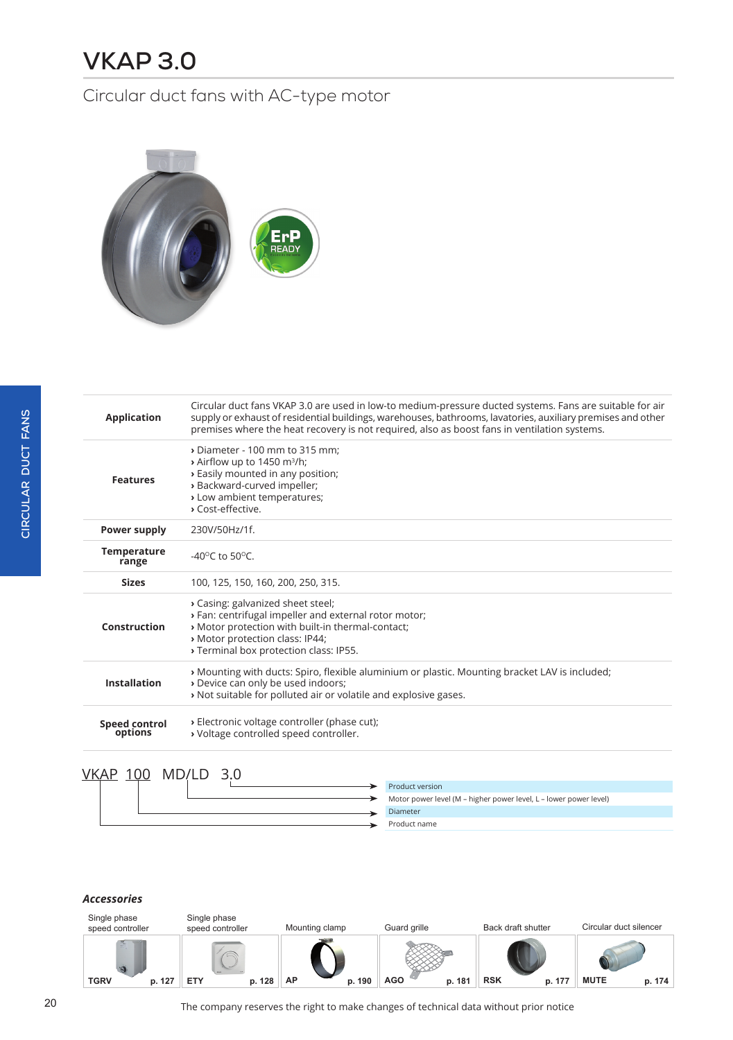# **VKAP 3.0**

### Circular duct fans with AC-type motor



| <b>Application</b>          | Circular duct fans VKAP 3.0 are used in low-to medium-pressure ducted systems. Fans are suitable for air<br>supply or exhaust of residential buildings, warehouses, bathrooms, lavatories, auxiliary premises and other<br>premises where the heat recovery is not required, also as boost fans in ventilation systems. |
|-----------------------------|-------------------------------------------------------------------------------------------------------------------------------------------------------------------------------------------------------------------------------------------------------------------------------------------------------------------------|
| <b>Features</b>             | Diameter - 100 mm to 315 mm:<br>$\rightarrow$ Airflow up to 1450 m <sup>3</sup> /h;<br>> Easily mounted in any position;<br>» Backward-curved impeller;<br>> Low ambient temperatures;<br>> Cost-effective.                                                                                                             |
| Power supply                | 230V/50Hz/1f.                                                                                                                                                                                                                                                                                                           |
| <b>Temperature</b><br>range | -40 $^{\circ}$ C to 50 $^{\circ}$ C.                                                                                                                                                                                                                                                                                    |
| <b>Sizes</b>                | 100, 125, 150, 160, 200, 250, 315.                                                                                                                                                                                                                                                                                      |
|                             |                                                                                                                                                                                                                                                                                                                         |
| Construction                | > Casing: galvanized sheet steel;<br>> Fan: centrifugal impeller and external rotor motor;<br>» Motor protection with built-in thermal-contact;<br>» Motor protection class: IP44;<br>> Terminal box protection class: IP55.                                                                                            |
| <b>Installation</b>         | » Mounting with ducts: Spiro, flexible aluminium or plastic. Mounting bracket LAV is included;<br>> Device can only be used indoors;<br>» Not suitable for polluted air or volatile and explosive gases.                                                                                                                |

### VKAP 100 MD/LD 3.0

|  |  | Product version                                                   |
|--|--|-------------------------------------------------------------------|
|  |  | Motor power level (M – higher power level, L – lower power level) |
|  |  | Diameter                                                          |
|  |  | Product name                                                      |
|  |  |                                                                   |

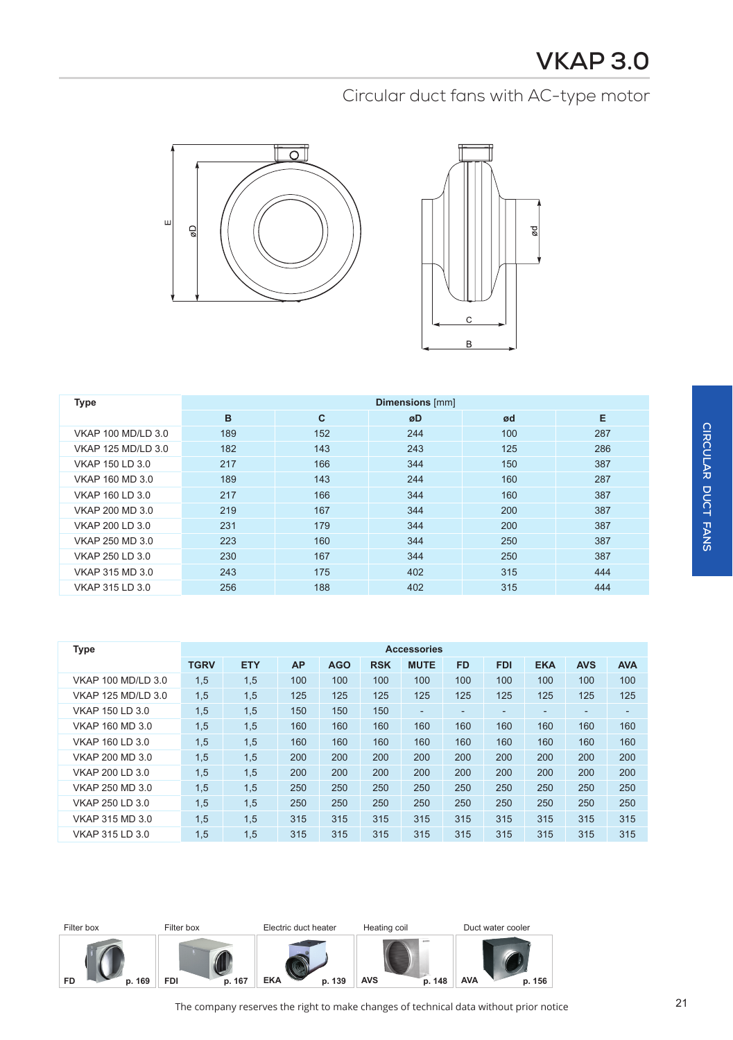



| <b>Type</b>        | <b>Dimensions</b> [mm] |              |     |     |     |  |  |  |  |
|--------------------|------------------------|--------------|-----|-----|-----|--|--|--|--|
|                    | B                      | $\mathbf{C}$ | øD  | ød  | E   |  |  |  |  |
| VKAP 100 MD/LD 3.0 | 189                    | 152          | 244 | 100 | 287 |  |  |  |  |
| VKAP 125 MD/LD 3.0 | 182                    | 143          | 243 | 125 | 286 |  |  |  |  |
| VKAP 150 LD 3.0    | 217                    | 166          | 344 | 150 | 387 |  |  |  |  |
| VKAP 160 MD 3.0    | 189                    | 143          | 244 | 160 | 287 |  |  |  |  |
| VKAP 160 LD 3.0    | 217                    | 166          | 344 | 160 | 387 |  |  |  |  |
| VKAP 200 MD 3.0    | 219                    | 167          | 344 | 200 | 387 |  |  |  |  |
| VKAP 200 LD 3.0    | 231                    | 179          | 344 | 200 | 387 |  |  |  |  |
| VKAP 250 MD 3.0    | 223                    | 160          | 344 | 250 | 387 |  |  |  |  |
| VKAP 250 LD 3.0    | 230                    | 167          | 344 | 250 | 387 |  |  |  |  |
| VKAP 315 MD 3.0    | 243                    | 175          | 402 | 315 | 444 |  |  |  |  |
| VKAP 315 LD 3.0    | 256                    | 188          | 402 | 315 | 444 |  |  |  |  |

| <b>Type</b>               | <b>Accessories</b> |            |           |            |            |             |                          |                          |            |                |            |
|---------------------------|--------------------|------------|-----------|------------|------------|-------------|--------------------------|--------------------------|------------|----------------|------------|
|                           | <b>TGRV</b>        | <b>ETY</b> | <b>AP</b> | <b>AGO</b> | <b>RSK</b> | <b>MUTE</b> | <b>FD</b>                | <b>FDI</b>               | <b>EKA</b> | <b>AVS</b>     | <b>AVA</b> |
| <b>VKAP 100 MD/LD 3.0</b> | 1,5                | 1,5        | 100       | 100        | 100        | 100         | 100                      | 100                      | 100        | 100            | 100        |
| <b>VKAP 125 MD/LD 3.0</b> | 1,5                | 1,5        | 125       | 125        | 125        | 125         | 125                      | 125                      | 125        | 125            | 125        |
| VKAP 150 LD 3.0           | 1,5                | 1,5        | 150       | 150        | 150        | ۰.          | $\overline{\phantom{0}}$ | $\overline{\phantom{0}}$ | -          | $\overline{a}$ | ٠          |
| VKAP 160 MD 3.0           | 1,5                | 1,5        | 160       | 160        | 160        | 160         | 160                      | 160                      | 160        | 160            | 160        |
| VKAP 160 LD 3.0           | 1,5                | 1,5        | 160       | 160        | 160        | 160         | 160                      | 160                      | 160        | 160            | 160        |
| VKAP 200 MD 3.0           | 1,5                | 1,5        | 200       | 200        | 200        | 200         | 200                      | 200                      | 200        | 200            | 200        |
| VKAP 200 LD 3.0           | 1,5                | 1,5        | 200       | 200        | 200        | 200         | 200                      | 200                      | 200        | 200            | 200        |
| VKAP 250 MD 3.0           | 1,5                | 1,5        | 250       | 250        | 250        | 250         | 250                      | 250                      | 250        | 250            | 250        |
| VKAP 250 LD 3.0           | 1,5                | 1,5        | 250       | 250        | 250        | 250         | 250                      | 250                      | 250        | 250            | 250        |
| VKAP 315 MD 3.0           | 1,5                | 1,5        | 315       | 315        | 315        | 315         | 315                      | 315                      | 315        | 315            | 315        |
| VKAP 315 LD 3.0           | 1,5                | 1,5        | 315       | 315        | 315        | 315         | 315                      | 315                      | 315        | 315            | 315        |

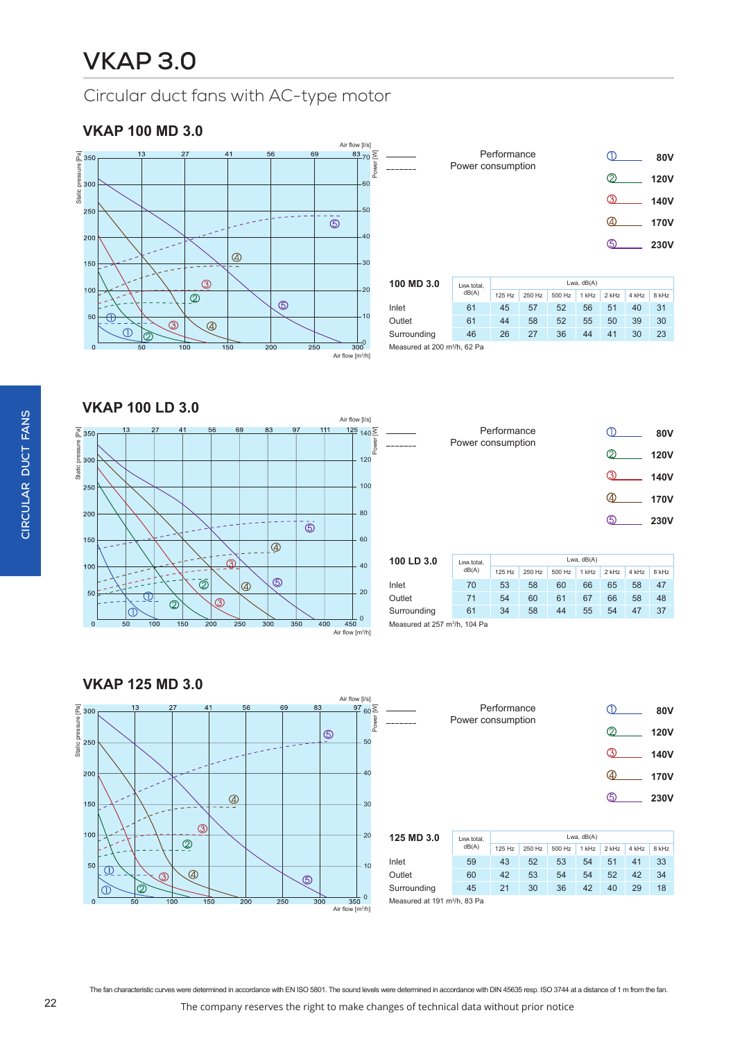### **VKAP 100 MD 3.0**



|       |                   | Performance |        |                |               |       |       | 80V         |  |
|-------|-------------------|-------------|--------|----------------|---------------|-------|-------|-------------|--|
|       | Power consumption |             |        |                |               | 2     |       | <b>120V</b> |  |
|       |                   |             |        |                |               | ൫     |       | 140V        |  |
|       |                   |             |        |                |               | (4)   |       | 170V        |  |
|       |                   |             |        |                |               | ග     |       | <b>230V</b> |  |
|       |                   |             |        |                |               |       |       |             |  |
| 0.3.0 | Lwa total,        | Lwa, dB(A)  |        |                |               |       |       |             |  |
|       | dR(A)             | $107.11 -$  | 0.5011 | $F \cap C + L$ | <b>ALL LL</b> | 0.111 | 4.111 | 0.111       |  |

| 100 MD 3.0                               | Lwa total.<br>dB(A) | Lwa, $dB(A)$ |        |        |         |       |       |       |  |
|------------------------------------------|---------------------|--------------|--------|--------|---------|-------|-------|-------|--|
|                                          |                     | 125Hz        | 250 Hz | 500 Hz | $1$ kHz | 2 kHz | 4 kHz | 8 kHz |  |
| Inlet                                    | 61                  | 45           | 57     | 52     | 56      | 51    | 40    | 31    |  |
| Outlet                                   | 61                  | 44           | 58     | 52     | 55      | 50    | 39    | 30    |  |
| Surrounding                              | 46                  | 26           | 27     | 36     | 44      | 41    | 30    | 23    |  |
| Measured at 200 m <sup>3</sup> /h, 62 Pa |                     |              |        |        |         |       |       |       |  |

**VKAP 100 LD 3.0**



|            | Power consumption | Performance |        |        |       |       |       | <b>80V</b>  |
|------------|-------------------|-------------|--------|--------|-------|-------|-------|-------------|
|            |                   |             |        |        |       | ◎     |       | <b>120V</b> |
|            |                   |             |        |        |       | ൫     |       | <b>140V</b> |
|            |                   |             |        |        |       | 40    |       | 170V        |
|            |                   |             |        |        |       | டு    |       | <b>230V</b> |
|            |                   |             |        |        |       |       |       |             |
| 100 LD 3.0 | Lwa total,        | Lwa, dB(A)  |        |        |       |       |       |             |
|            | dB(A)             | 125 Hz      | 250 Hz | 500 Hz | 1 kHz | 2 kHz | 4 kHz | 8 kHz       |
| Inlet      | 70                | 53          | 58     | 60     | 66    | 65    | 58    | 47          |

| 199 LD 9.9                                | LWA total.<br>dB(A) |        |        |        |       |       |       |       |  |  |
|-------------------------------------------|---------------------|--------|--------|--------|-------|-------|-------|-------|--|--|
|                                           |                     | 125 Hz | 250 Hz | 500 Hz | 1 kHz | 2 kHz | 4 kHz | 8 kHz |  |  |
| Inlet                                     | 70                  | 53     | 58     | 60     | 66    | 65    | 58    | 47    |  |  |
| Outlet                                    | 71                  | 54     | 60     | 61     | 67    | 66    | 58    | 48    |  |  |
| Surrounding                               | 61                  | 34     | 58     | 44     | 55    | 54    | 47    | 37    |  |  |
| Measured at 257 m <sup>3</sup> /h, 104 Pa |                     |        |        |        |       |       |       |       |  |  |

Measured at 257  $\mathsf{m}^{3}$ 



|     |                             | Performance       |            |               | 80V         |
|-----|-----------------------------|-------------------|------------|---------------|-------------|
|     |                             | Power consumption |            | 2             | <b>120V</b> |
|     |                             |                   |            | $\mathcal{D}$ | <b>140V</b> |
|     |                             |                   |            | (4)           | <b>170V</b> |
|     |                             |                   |            | டு            | 230V        |
|     |                             |                   |            |               |             |
| 3 U | <b><i>Bossette Boll</i></b> |                   | Lwa. dB(A) |               |             |

| 125 MD 3.0  | Lwa total.<br>dB(A)                     | Lwa, dB(A) |        |        |       |       |       |       |  |  |
|-------------|-----------------------------------------|------------|--------|--------|-------|-------|-------|-------|--|--|
|             |                                         | $125$ Hz   | 250 Hz | 500 Hz | 1 kHz | 2 kHz | 4 kHz | 8 kHz |  |  |
| Inlet       | 59                                      | 43         | 52     | 53     | 54    | 51    | 41    | 33    |  |  |
| Outlet      | 60                                      | 42         | 53     | 54     | 54    | 52    | 42    | 34    |  |  |
| Surrounding | 45                                      | 21         | 30     | 36     | 42    | 40    | 29    | 18    |  |  |
|             | Meggurad at 101 m <sup>3</sup> /h 83 Pa |            |        |        |       |       |       |       |  |  |

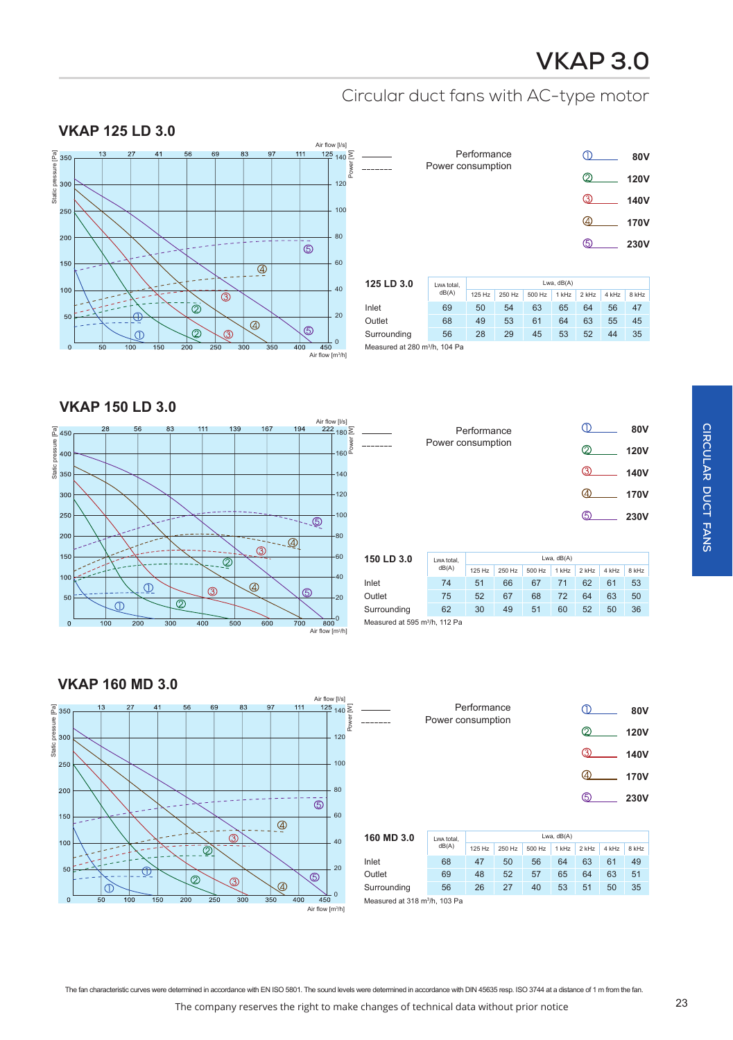# **VKAP 3.0**

## Circular duct fans with AC-type motor

#### Air flow [l/s] Static pressure [Pa]<br>Static pressure 1300  $\frac{125}{140}$   $\sum$ Static pressure [Pa] Static pressure [Pa] Power 120 250 100 80 200  $\circledS$ 150 60  $\overline{\mathcal{L}}$ 100 40  $\overline{\circledcirc}$  $\bar{\circledcirc}$ 20 50  $\overline{\mathcal{L}}$  $\circledS$  $\overline{\mathcal{Q}}$  $\overline{\mathbb{O}}$  $\circled{3}$  $^{\circ}$ 400 Air flow [m3/h]

| Performance       |    | 80V         |
|-------------------|----|-------------|
| Power consumption | ⊘  | <b>120V</b> |
|                   | ൫  | 140V        |
|                   | 4  | 170V        |
|                   | டு | 230V        |
|                   |    |             |

| 125 LD 3.0                                | Lwa total.<br>dB(A) | Lwa. $dB(A)$ |        |        |       |         |       |       |  |
|-------------------------------------------|---------------------|--------------|--------|--------|-------|---------|-------|-------|--|
|                                           |                     | 125 Hz       | 250 Hz | 500 Hz | 1 kHz | $2$ kHz | 4 kHz | 8 kHz |  |
| Inlet                                     | 69                  | 50           | 54     | 63     | 65    | 64      | 56    | 47    |  |
| Outlet                                    | 68                  | 49           | 53     | 61     | 64    | 63      | 55    | 45    |  |
| Surrounding                               | 56                  | 28           | 29     | 45     | 53    | 52      | 44    | 35    |  |
| Measured at 280 m <sup>3</sup> /h, 104 Pa |                     |              |        |        |       |         |       |       |  |

**VKAP 150 LD 3.0**

**VKAP 125 LD 3.0**



| Performance       | ൹<br>80V                   |
|-------------------|----------------------------|
| Power consumption | Ø)<br><b>120V</b>          |
|                   | $\circledS$<br><b>140V</b> |
|                   | $\omega$<br><b>170V</b>    |
|                   | டு<br>230V                 |
|                   |                            |
|                   |                            |

| 150 LD 3.0                                | Lwa total.<br>dB(A) | Lwa, $dB(A)$ |        |        |       |         |       |       |  |
|-------------------------------------------|---------------------|--------------|--------|--------|-------|---------|-------|-------|--|
|                                           |                     | $125$ Hz     | 250 Hz | 500 Hz | 1 kHz | $2$ kHz | 4 kHz | 8 kHz |  |
| Inlet                                     | 74                  | 51           | 66     | 67     | 71    | 62      | 61    | 53    |  |
| Outlet                                    | 75                  | 52           | 67     | 68     | 72    | 64      | 63    | 50    |  |
| Surrounding                               | 62                  | 30           | 49     | 51     | 60    | 52      | 50    | 36    |  |
| Measured at 595 m <sup>3</sup> /h, 112 Pa |                     |              |        |        |       |         |       |       |  |

**VKAP 160 MD 3.0** Air flow [l/s] Static pressure [Pa]<br>350<br>300<br>300  $\frac{125}{140}$   $\sum$ Static pressure [Pa] Power 120 100 250 200 80  $\overline{\circ}$ 60 150  $\overline{\mathcal{L}}$  $\circledS$ 100 40  $\bar{Q}$  $20$ 50  $\circledS$  $\overline{\mathcal{Q}}$  $\overline{\mathcal{Q}}$  $\overline{\mathcal{L}}$  $\circledcirc$ 0  $\overline{0}$  $\frac{1}{350}$  $400$  $-450$ Air flow [m<sup>3</sup> /h]

| 80V         |          | Performance       |  |
|-------------|----------|-------------------|--|
| <b>120V</b> | ②        | Power consumption |  |
| <b>140V</b> | ③        |                   |  |
| <b>170V</b> | $\omega$ |                   |  |
| <b>230V</b> | ග        |                   |  |
|             |          |                   |  |

| 160 MD 3.0                                | Lwa total.<br>dB(A) |          | Lwa, $dB(A)$ |        |         |         |       |       |  |  |  |
|-------------------------------------------|---------------------|----------|--------------|--------|---------|---------|-------|-------|--|--|--|
|                                           |                     | $125$ Hz | 250 Hz       | 500 Hz | $1$ kHz | $2$ kHz | 4 kHz | 8 kHz |  |  |  |
| Inlet                                     | 68                  | 47       | 50           | 56     | 64      | 63      | 61    | 49    |  |  |  |
| Outlet                                    | 69                  | 48       | 52           | 57     | 65      | 64      | 63    | 51    |  |  |  |
| Surrounding                               | 56                  | 26       | 27           | 40     | 53      | 51      | 50    | 35    |  |  |  |
| Measured at 318 m <sup>3</sup> /h, 103 Pa |                     |          |              |        |         |         |       |       |  |  |  |

The fan characteristic curves were determined in accordance with EN ISO 5801. The sound levels were determined in accordance with DIN 45635 resp. ISO 3744 at a distance of 1 m from the fan.

 $\overline{a}$ 

The company reserves the right to make changes of technical data without prior notice 23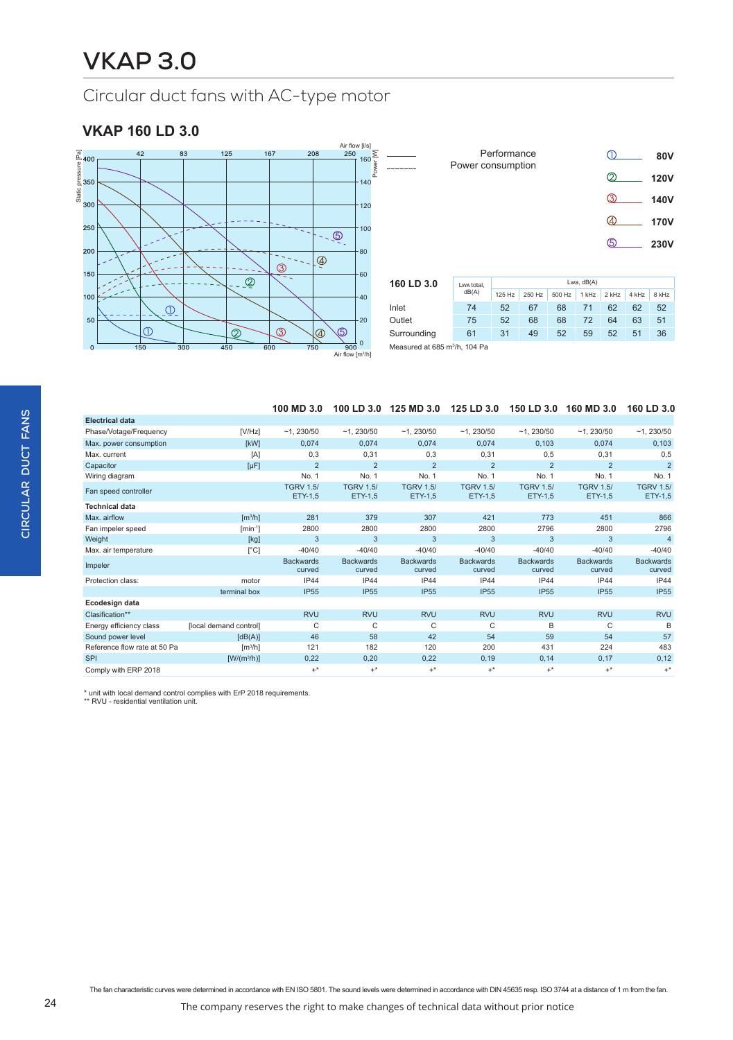### **VKAP 160 LD 3.0**



|        |   | Performance       |                | (I)           | 80V         |
|--------|---|-------------------|----------------|---------------|-------------|
|        |   | Power consumption |                | Ø             | <b>120V</b> |
|        |   |                   |                | $\circled{3}$ | <b>140V</b> |
|        |   |                   |                | 4             | <b>170V</b> |
|        |   |                   |                | டு            | 230V        |
|        |   |                   |                |               |             |
| ח ? חו | . |                   | $l$ wa $dR(A)$ |               |             |

| 160 LD 3.0                                | Lwa total.<br>dB(A) | Lwa, $dB(A)$ |        |        |       |         |       |       |  |  |
|-------------------------------------------|---------------------|--------------|--------|--------|-------|---------|-------|-------|--|--|
|                                           |                     | $125$ Hz     | 250 Hz | 500 Hz | 1 kHz | $2$ kHz | 4 kHz | 8 kHz |  |  |
| Inlet                                     | 74                  | 52           | 67     | 68     | 71    | 62      | 62    | 52    |  |  |
| Outlet                                    | 75                  | 52           | 68     | 68     | 72    | 64      | 63    | 51    |  |  |
| Surrounding                               | 61                  | 31           | 49     | 52     | 59    | 52      | 51    | 36    |  |  |
| Measured at 685 m <sup>3</sup> /h, 104 Pa |                     |              |        |        |       |         |       |       |  |  |

|  | 100 MD 3.0  100 LD 3.0  125 MD 3.0  125 LD 3.0  150 LD 3.0  160 MD 3.0  160 LD 3.0 |  |  |
|--|------------------------------------------------------------------------------------|--|--|
|  |                                                                                    |  |  |

| Electrical data              |                              |                             |                             |                             |                             |                             |                             |                             |
|------------------------------|------------------------------|-----------------------------|-----------------------------|-----------------------------|-----------------------------|-----------------------------|-----------------------------|-----------------------------|
| Phase/Votage/Frequency       | [V/Hz]                       | $-1, 230/50$                | $-1, 230/50$                | $-1, 230/50$                | ~1.230/50                   | $-1, 230/50$                | $-1, 230/50$                | ~1.230/50                   |
| Max. power consumption       | [kW]                         | 0,074                       | 0,074                       | 0,074                       | 0,074                       | 0,103                       | 0,074                       | 0,103                       |
| Max. current                 | [A]                          | 0,3                         | 0,31                        | 0,3                         | 0,31                        | 0,5                         | 0,31                        | 0,5                         |
| Capacitor                    | $[\mu F]$                    | $\overline{2}$              | $\overline{2}$              | $\overline{2}$              | $\overline{2}$              | $\overline{2}$              | $\overline{2}$              | $\overline{2}$              |
| Wiring diagram               |                              | No. 1                       | No. 1                       | No. 1                       | No. 1                       | No. 1                       | No. 1                       | No. 1                       |
| Fan speed controller         |                              | <b>TGRV 1.5/</b><br>ETY-1,5 | <b>TGRV 1.5/</b><br>ETY-1,5 | <b>TGRV 1.5/</b><br>ETY-1,5 | <b>TGRV 1.5/</b><br>ETY-1,5 | <b>TGRV 1.5/</b><br>ETY-1,5 | <b>TGRV 1.5/</b><br>ETY-1,5 | <b>TGRV 1.5/</b><br>ETY-1,5 |
| <b>Technical data</b>        |                              |                             |                             |                             |                             |                             |                             |                             |
| Max. airflow                 | $\left[\frac{m^3}{h}\right]$ | 281                         | 379                         | 307                         | 421                         | 773                         | 451                         | 866                         |
| Fan impeler speed            | $[min^{-1}]$                 | 2800                        | 2800                        | 2800                        | 2800                        | 2796                        | 2800                        | 2796                        |
| Weight                       | [kg]                         | 3                           | 3                           | 3                           | 3                           | 3                           | 3                           | $\overline{4}$              |
| Max. air temperature         | $\lceil{^{\circ}C}\rceil$    | $-40/40$                    | $-40/40$                    | $-40/40$                    | $-40/40$                    | $-40/40$                    | $-40/40$                    | $-40/40$                    |
| Impeler                      |                              | <b>Backwards</b><br>curved  | <b>Backwards</b><br>curved  | <b>Backwards</b><br>curved  | <b>Backwards</b><br>curved  | <b>Backwards</b><br>curved  | <b>Backwards</b><br>curved  | <b>Backwards</b><br>curved  |
| Protection class:            | motor                        | <b>IP44</b>                 | IP44                        | IP44                        | <b>IP44</b>                 | IP44                        | <b>IP44</b>                 | IP44                        |
|                              | terminal box                 | <b>IP55</b>                 | <b>IP55</b>                 | <b>IP55</b>                 | <b>IP55</b>                 | <b>IP55</b>                 | <b>IP55</b>                 | <b>IP55</b>                 |
| Ecodesign data               |                              |                             |                             |                             |                             |                             |                             |                             |
| Clasification**              |                              | <b>RVU</b>                  | <b>RVU</b>                  | <b>RVU</b>                  | <b>RVU</b>                  | <b>RVU</b>                  | <b>RVU</b>                  | <b>RVU</b>                  |
| Energy efficiency class      | [local demand control]       | C                           | C                           | C                           | C                           | B                           | C                           | B                           |
| Sound power level            | [dB(A)]                      | 46                          | 58                          | 42                          | 54                          | 59                          | 54                          | 57                          |
| Reference flow rate at 50 Pa | $\left[\frac{m^3}{h}\right]$ | 121                         | 182                         | 120                         | 200                         | 431                         | 224                         | 483                         |
| <b>SPI</b>                   | $[W/(m^3/h)]$                | 0,22                        | 0,20                        | 0,22                        | 0, 19                       | 0,14                        | 0,17                        | 0,12                        |
| Comply with ERP 2018         |                              | $+^*$                       | $+^*$                       | $+^*$                       | $+^*$                       | $+^*$                       | $+^*$                       | $+^*$                       |

\* unit with local demand control complies with ErP 2018 requirements. \*\* RVU - residential ventilation unit.

The fan characteristic curves were determined in accordance with EN ISO 5801. The sound levels were determined in accordance with DIN 45635 resp. ISO 3744 at a distance of 1 m from the fan.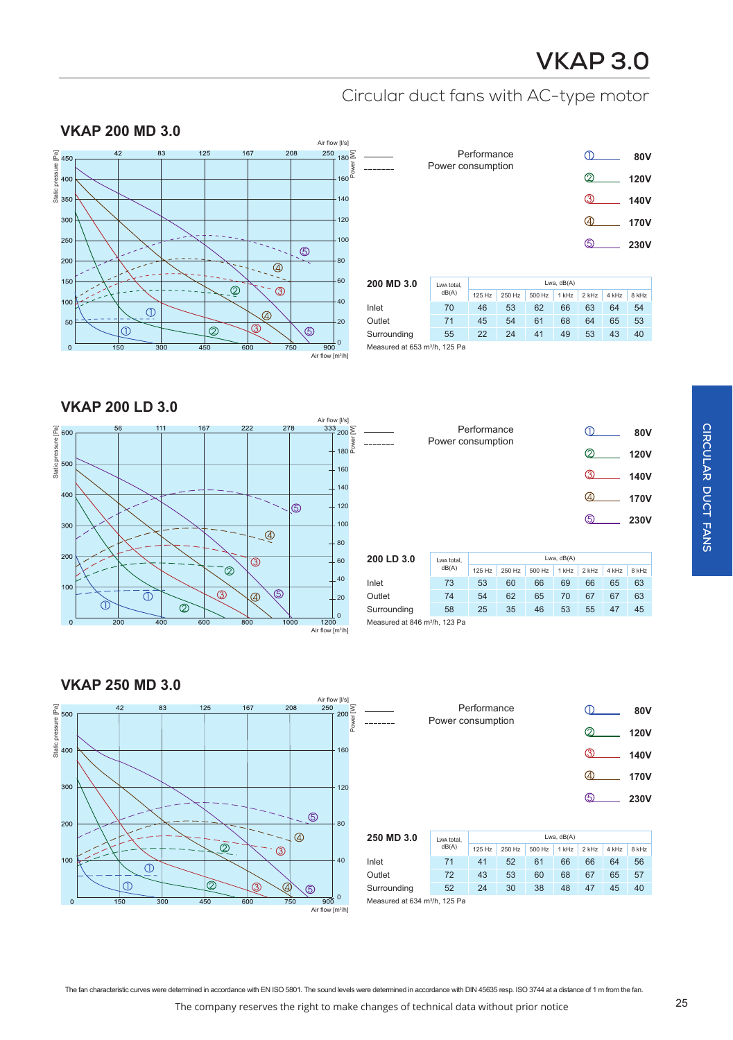# **VKAP 3.0**

 $\bigcap$ 

**80V**

## Circular duct fans with AC-type motor

Performance



|             | Power consumption |        |              |        |       |             |       | ov v        |  |
|-------------|-------------------|--------|--------------|--------|-------|-------------|-------|-------------|--|
|             |                   |        |              |        | ©     | <b>120V</b> |       |             |  |
|             |                   |        |              |        |       |             |       | 140V        |  |
|             |                   |        |              |        |       | ④           |       | <b>170V</b> |  |
|             |                   |        |              |        |       |             |       | <b>230V</b> |  |
|             |                   |        |              |        |       |             |       |             |  |
| 200 MD 3.0  | Lwa total,        |        | Lwa, $dB(A)$ |        |       |             |       |             |  |
|             | dB(A)             | 125 Hz | 250 Hz       | 500 Hz | 1 kHz | 2 kHz       | 4 kHz | 8 kHz       |  |
| Inlet       | 70                | 46     | 53           | 62     | 66    | 63          | 64    | 54          |  |
| Outlet      | 71                | 45     | 54           | 61     | 68    | 64          | 65    | 53          |  |
| Surrounding | 55                | 22     | 24           | 41     | 49    | 53          | 43    | 40          |  |

Measured at 653 m3 /h, 125 Pa

**VKAP 200 LD 3.0**



|            | Power consumption | Performance  |        |                |       |                |       | 80V         |  |
|------------|-------------------|--------------|--------|----------------|-------|----------------|-------|-------------|--|
|            |                   |              |        | の              |       | <b>120V</b>    |       |             |  |
|            |                   |              |        |                |       | ൫              |       | 140V        |  |
|            |                   |              |        |                |       | (4)            |       | <b>170V</b> |  |
|            |                   |              |        |                |       | டு             |       | 230V        |  |
|            |                   |              |        |                |       |                |       |             |  |
| 200 LD 3.0 | Lwa total,        | Lwa, $dB(A)$ |        |                |       |                |       |             |  |
|            | dB(A)             | 125 Hz       | 250 Hz | 500 Hz         | 1 kHz | 2 kHz          | 4 kHz | 8 kHz       |  |
| Inlat      | 73                | 53           | 60     | 6 <sub>6</sub> | 60    | 6 <sub>R</sub> | 65    | 63          |  |

|                                           | dB(A) | 125 Hz | 250 Hz | 500 Hz | 1 kHz | 2 kHz | 4 kHz | 8 kHz |
|-------------------------------------------|-------|--------|--------|--------|-------|-------|-------|-------|
| Inlet                                     | 73    | 53     | 60     | 66     | 69    | 66    | 65    | 63    |
| Outlet                                    | 74    | 54     | 62     | 65     | 70    | 67    | 67    | 63    |
| Surrounding                               | 58    | 25     | 35     | 46     | 53    | 55    | 47    | 45    |
| Measured at 846 m <sup>3</sup> /h, 123 Pa |       |        |        |        |       |       |       |       |

**VKAP 250 MD 3.0** Air flow [I/s]<br>250 Static pressure [Pa]<br>65<br>40<br>00  $200\frac{\Sigma}{\frac{W}{\Sigma}}$ Static pressure [Pa] 160 300 120  $\circledS$ 200 80  $\circledcirc$  $\overline{\mathcal{Q}}$  $\circledS$ 100 40  $\overline{\bigcirc}$  $\odot$  $\overline{\circ}$  $\circledS$ ௫  $\overline{0}$  $\overline{900}$ Air flow [m $^3$ /h]

|            | Performance       |        |        | <b>80V</b> |       |          |       |             |  |
|------------|-------------------|--------|--------|------------|-------|----------|-------|-------------|--|
|            | Power consumption |        |        |            |       | <b>②</b> |       | <b>120V</b> |  |
|            |                   |        |        |            |       | 将        |       | 140V        |  |
|            |                   |        |        |            |       | ④        |       | 170V        |  |
|            |                   |        |        |            |       | டு       |       | 230V        |  |
|            |                   |        |        |            |       |          |       |             |  |
| 250 MD 3.0 | Lwa total,        |        |        |            |       |          |       |             |  |
|            | dB(A)             | 125 Hz | 250 Hz | 500 Hz     | 1 kHz | 2 kHz    | 4 kHz | 8 kHz       |  |
| Inlet      | 71                | 41     | 52     | 61         | 66    | 66       | 64    | 56          |  |
| Outlet     | 72                | 43     | 53     | 60         | 68    | 67       | 65    | 57          |  |

Surrounding 52 24 30 38 48 47 45 40

The company reserves the right to make changes of technical data without prior notice 25 The fan characteristic curves were determined in accordance with EN ISO 5801. The sound levels were determined in accordance with DIN 45635 resp. ISO 3744 at a distance of 1 m from the fan.

 $\overline{a}$  $\overline{a}$ 

Measured at 634 m<sup>3</sup>/h, 125 Pa

**CIRCULAR DUCT FANS**

CIRCULAR DUCT FANS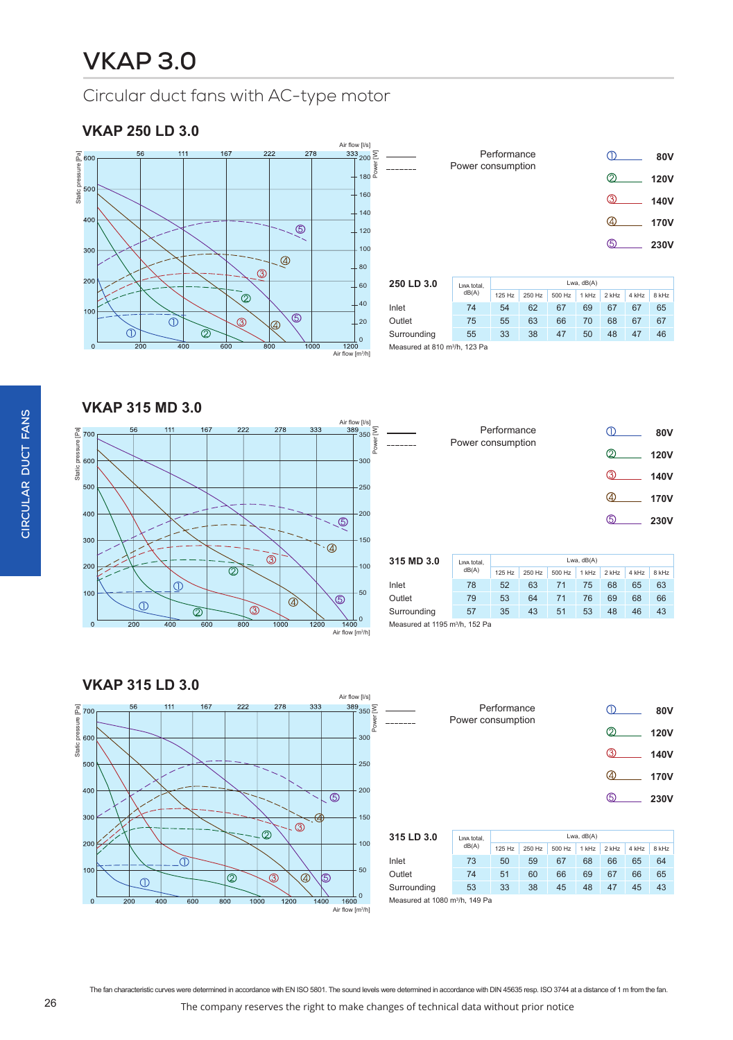### **VKAP 250 LD 3.0**



|            | Performance<br>Power consumption |        |        |        |       |       |       | <b>80V</b>  |  |
|------------|----------------------------------|--------|--------|--------|-------|-------|-------|-------------|--|
|            |                                  |        |        |        |       |       |       | <b>120V</b> |  |
|            |                                  |        |        |        |       | ൫     |       | 140V        |  |
|            |                                  |        |        |        |       | ④     |       | <b>170V</b> |  |
|            |                                  |        |        |        |       | டு    |       | 230V        |  |
|            |                                  |        |        |        |       |       |       |             |  |
| 250 LD 3.0 | Lwa total,                       |        |        |        |       |       |       |             |  |
|            | dB(A)                            | 125 Hz | 250 Hz | 500 Hz | 1 kHz | 2 kHz | 4 kHz | 8 kHz       |  |
| Inlet      | 74                               | 54     | 62     | 67     | 69    | 67    | 67    | 65          |  |

**VKAP 315 MD 3.0**



|            | Power consumption | Performance |          |          |                    | ∩        |           | 80V         |  |
|------------|-------------------|-------------|----------|----------|--------------------|----------|-----------|-------------|--|
|            |                   |             |          |          |                    | <b>②</b> |           | <b>120V</b> |  |
|            |                   |             |          |          |                    | ൫        |           | <b>140V</b> |  |
|            |                   |             |          |          |                    | 4        |           | <b>170V</b> |  |
|            |                   |             |          |          |                    | டு       |           | <b>230V</b> |  |
|            |                   |             |          |          |                    |          |           |             |  |
| 315 MD 3.0 | Lwa total,        |             |          |          | Lwa, dB(A)         |          |           |             |  |
|            | dB(A)             | $125 L +$   | $250H -$ | $EAOU -$ | 4.14H <sub>2</sub> | $21 -$   | $A$ $L =$ | $0 L1 -$    |  |

| 315 MD 3.0                                 | Lwa total.<br>dB(A) | Lwa. dB(A) |        |        |       |       |       |       |  |  |
|--------------------------------------------|---------------------|------------|--------|--------|-------|-------|-------|-------|--|--|
|                                            |                     | 125 Hz     | 250 Hz | 500 Hz | 1 kHz | 2 kHz | 4 kHz | 8 kHz |  |  |
| Inlet                                      | 78                  | 52         | 63     | 71     | 75    | 68    | 65    | 63    |  |  |
| Outlet                                     | 79                  | 53         | 64     | 71     | 76    | 69    | 68    | 66    |  |  |
| Surrounding                                | 57                  | 35         | 43     | 51     | 53    | 48    | 46    | 43    |  |  |
| Measured at 1195 m <sup>3</sup> /h, 152 Pa |                     |            |        |        |       |       |       |       |  |  |

**VKAP 315 LD 3.0** Air flow [l/s] Static pressure [Pa]<br>60<br>800  $\frac{389}{1}$ 350 $\frac{5}{7}$ 111 167 222 278 333 Static pressure [Pa] Power 300 500 250 400 200  $\overline{\circledcirc}$  $30<sup>°</sup>$ 150  $\circledS$  $\overline{Q}$ 200 100  $\bar{\mathbb{O}}$  $10<sub>C</sub>$ 50  $\circledcirc$  $\circledS$  $\overline{\circledast}$ (යි)  $\overline{O}$ 0  $\epsilon$  $\overline{600}$  $\frac{1}{1400}$  $\frac{1}{1600}$  $1000$ Air flow [m<sup>3</sup> /h]

| 80V         |    | Performance |  | Power consumption |
|-------------|----|-------------|--|-------------------|
| <b>120V</b> | ②  |             |  |                   |
| <b>140V</b> | ൫  |             |  |                   |
| <b>170V</b> |    |             |  |                   |
| 230V        | டு |             |  |                   |
|             |    |             |  |                   |
|             |    |             |  |                   |

| 315 LD 3.0                                         | Lwa total.<br>dB(A) | Lwa, $dB(A)$ |        |        |       |         |       |       |  |  |
|----------------------------------------------------|---------------------|--------------|--------|--------|-------|---------|-------|-------|--|--|
|                                                    |                     | 125 Hz       | 250 Hz | 500 Hz | 1 kHz | $2$ kHz | 4 kHz | 8 kHz |  |  |
| Inlet                                              | 73                  | 50           | 59     | 67     | 68    | 66      | 65    | 64    |  |  |
| Outlet                                             | 74                  | 51           | 60     | 66     | 69    | 67      | 66    | 65    |  |  |
| Surrounding                                        | 53                  | 33           | 38     | 45     | 48    | 47      | 45    | 43    |  |  |
| Measured at $1080 \text{ m}^3$ /h $149 \text{ Pa}$ |                     |              |        |        |       |         |       |       |  |  |

```
Measured at 1080 \mathrm{m}^3/h, 149 Pa
```
The fan characteristic curves were determined in accordance with EN ISO 5801. The sound levels were determined in accordance with DIN 45635 resp. ISO 3744 at a distance of 1 m from the fan.